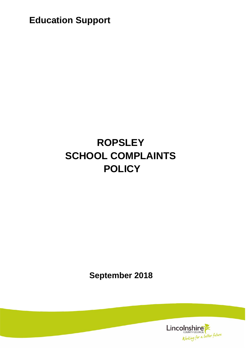**Education Support**

# **ROPSLEY SCHOOL COMPLAINTS POLICY**

**September 2018**

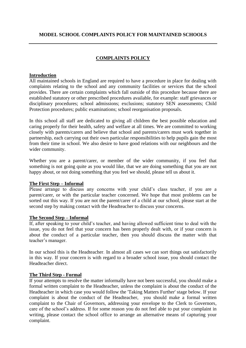## **MODEL SCHOOL COMPLAINTS POLICY FOR MAINTAINED SCHOOLS**

## **COMPLAINTS POLICY**

#### **Introduction**

All maintained schools in England are required to have a procedure in place for dealing with complaints relating to the school and any community facilities or services that the school provides. There are certain complaints which fall outside of this procedure because there are established statutory or other prescribed procedures available, for example: staff grievances or disciplinary procedures; school admissions; exclusions; statutory SEN assessments; Child Protection procedures; public examinations; school reorganisation proposals.

In this school all staff are dedicated to giving all children the best possible education and caring properly for their health, safety and welfare at all times. We are committed to working closely with parents/carers and believe that school and parents/carers must work together in partnership, each carrying out their own particular responsibilities to help pupils gain the most from their time in school. We also desire to have good relations with our neighbours and the wider community.

Whether you are a parent/carer, or member of the wider community, if you feel that something is not going quite as you would like, that we are doing something that you are not happy about, or not doing something that you feel we should, please tell us about it.

#### **The First Step – Informal**

Please arrange to discuss any concerns with your child's class teacher, if you are a parent/carer, or with the particular teacher concerned. We hope that most problems can be sorted out this way. If you are not the parent/carer of a child at our school, please start at the second step by making contact with the Headteacher to discuss your concerns.

#### **The Second Step – Informal**

If, after speaking to your child's teacher, and having allowed sufficient time to deal with the issue, you do not feel that your concern has been properly dealt with, or if your concern is about the conduct of a particular teacher, then you should discuss the matter with that teacher's manager.

In our school this is the Headteacher. In almost all cases we can sort things out satisfactorily in this way. If your concern is with regard to a broader school issue, you should contact the Headteacher direct.

#### **The Third Step - Formal**

If your attempts to resolve the matter informally have not been successful, you should make a formal written complaint to the Headteacher, unless the complaint is about the conduct of the Headteacher in which case you would follow the 'Taking Matters Further' stage below. If your complaint is about the conduct of the Headteacher, you should make a formal written complaint to the Chair of Governors, addressing your envelope to the Clerk to Governors, care of the school's address. If for some reason you do not feel able to put your complaint in writing, please contact the school office to arrange an alternative means of capturing your complaint.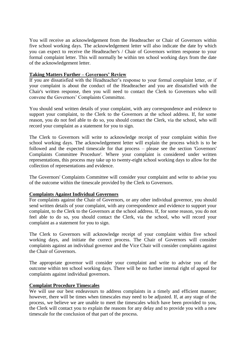You will receive an acknowledgement from the Headteacher or Chair of Governors within five school working days. The acknowledgement letter will also indicate the date by which you can expect to receive the Headteacher's / Chair of Governors written response to your formal complaint letter. This will normally be within ten school working days from the date of the acknowledgement letter.

#### **Taking Matters Further – Governors' Review**

If you are dissatisfied with the Headteacher's response to your formal complaint letter, or if your complaint is about the conduct of the Headteacher and you are dissatisfied with the Chair's written response, then you will need to contact the Clerk to Governors who will convene the Governors' Complaints Committee.

You should send written details of your complaint, with any correspondence and evidence to support your complaint, to the Clerk to the Governors at the school address. If, for some reason, you do not feel able to do so, you should contact the Clerk, via the school, who will record your complaint as a statement for you to sign.

The Clerk to Governors will write to acknowledge receipt of your complaint within five school working days. The acknowledgement letter will explain the process which is to be followed and the expected timescale for that process – please see the section 'Governors' Complaints Committee Procedure'. Where your complaint is considered under written representations, this process may take up to twenty-eight school working days to allow for the collection of representations and evidence.

The Governors' Complaints Committee will consider your complaint and write to advise you of the outcome within the timescale provided by the Clerk to Governors.

#### **Complaints Against Individual Governors**

For complaints against the Chair of Governors, or any other individual governor, you should send written details of your complaint, with any correspondence and evidence to support your complaint, to the Clerk to the Governors at the school address. If, for some reason, you do not feel able to do so, you should contact the Clerk, via the school, who will record your complaint as a statement for you to sign.

The Clerk to Governors will acknowledge receipt of your complaint within five school working days, and initiate the correct process. The Chair of Governors will consider complaints against an individual governor and the Vice Chair will consider complaints against the Chair of Governors.

The appropriate governor will consider your complaint and write to advise you of the outcome within ten school working days. There will be no further internal right of appeal for complaints against individual governors.

#### **Complaint Procedure Timescales**

We will use our best endeavours to address complaints in a timely and efficient manner; however, there will be times when timescales may need to be adjusted. If, at any stage of the process, we believe we are unable to meet the timescales which have been provided to you, the Clerk will contact you to explain the reasons for any delay and to provide you with a new timescale for the conclusion of that part of the process.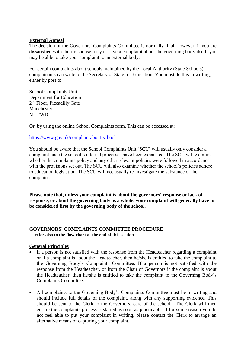## **External Appeal**

The decision of the Governors' Complaints Committee is normally final; however, if you are dissatisfied with their response, or you have a complaint about the governing body itself, you may be able to take your complaint to an external body.

For certain complaints about schools maintained by the Local Authority (State Schools), complainants can write to the Secretary of State for Education. You must do this in writing, either by post to:

School Complaints Unit Department for Education 2<sup>nd</sup> Floor, Piccadilly Gate Manchester M1 2WD

Or, by using the online School Complaints form. This can be accessed at:

<https://www.gov.uk/complain-about-school>

You should be aware that the School Complaints Unit (SCU) will usually only consider a complaint once the school's internal processes have been exhausted. The SCU will examine whether the complaints policy and any other relevant policies were followed in accordance with the provisions set out. The SCU will also examine whether the school's policies adhere to education legislation. The SCU will not usually re-investigate the substance of the complaint.

**Please note that, unless your complaint is about the governors' response or lack of response, or about the governing body as a whole, your complaint will generally have to be considered first by the governing body of the school.**

## **GOVERNORS' COMPLAINTS COMMITTEE PROCEDURE**

 **- refer also to the flow chart at the end of this section**

## **General Principles**

- If a person is not satisfied with the response from the Headteacher regarding a complaint or if a complaint is about the Headteacher, then he/she is entitled to take the complaint to the Governing Body's Complaints Committee. If a person is not satisfied with the response from the Headteacher, or from the Chair of Governors if the complaint is about the Headteacher, then he/she is entitled to take the complaint to the Governing Body's Complaints Committee*.*
- All complaints to the Governing Body's Complaints Committee must be in writing and should include full details of the complaint, along with any supporting evidence. This should be sent to the Clerk to the Governors, care of the school. The Clerk will then ensure the complaints process is started as soon as practicable. If for some reason you do not feel able to put your complaint in writing, please contact the Clerk to arrange an alternative means of capturing your complaint.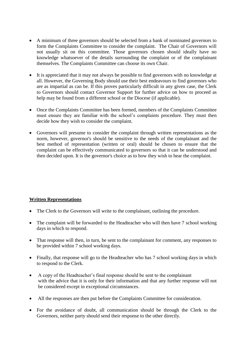- A minimum of three governors should be selected from a bank of nominated governors to form the Complaints Committee to consider the complaint. The Chair of Governors will not usually sit on this committee. Those governors chosen should ideally have no knowledge whatsoever of the details surrounding the complaint or of the complainant themselves. The Complaints Committee can choose its own Chair.
- It is appreciated that it may not always be possible to find governors with no knowledge at all. However, the Governing Body should use their best endeavours to find governors who are as impartial as can be. If this proves particularly difficult in any given case, the Clerk to Governors should contact Governor Support for further advice on how to proceed as help may be found from a different school or the Diocese (if applicable).
- Once the Complaints Committee has been formed, members of the Complaints Committee must ensure they are familiar with the school's complaints procedure. They must then decide how they wish to consider the complaint.
- Governors will presume to consider the complaint through written representations as the norm, however, governor's should be sensitive to the needs of the complainant and the best method of representation (written or oral) should be chosen to ensure that the complaint can be effectively communicated to governors so that it can be understood and then decided upon. It is the governor's choice as to how they wish to hear the complaint.

# **Written Representations**

- The Clerk to the Governors will write to the complainant, outlining the procedure.
- The complaint will be forwarded to the Headteacher who will then have 7 school working days in which to respond.
- That response will then, in turn, be sent to the complainant for comment, any responses to be provided within 7 school working days.
- Finally, that response will go to the Headteacher who has 7 school working days in which to respond to the Clerk.
- A copy of the Headteacher's final response should be sent to the complainant with the advice that it is only for their information and that any further response will not be considered except in exceptional circumstances.
- All the responses are then put before the Complaints Committee for consideration.
- For the avoidance of doubt, all communication should be through the Clerk to the Governors, neither party should send their response to the other directly.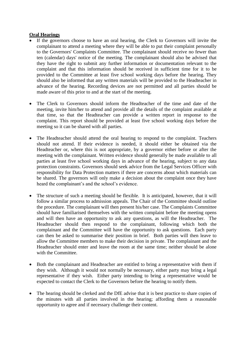## **Oral Hearings**

- If the governors choose to have an oral hearing, the Clerk to Governors will invite the complainant to attend a meeting where they will be able to put their complaint personally to the Governors' Complaints Committee. The complainant should receive no fewer than ten (calendar) days' notice of the meeting. The complainant should also be advised that they have the right to submit any further information or documentation relevant to the complaint and that this information should be received in sufficient time for it to be provided to the Committee at least five school working days before the hearing. They should also be informed that any written materials will be provided to the Headteacher in advance of the hearing. Recording devices are not permitted and all parties should be made aware of this prior to and at the start of the meeting.
- The Clerk to Governors should inform the Headteacher of the time and date of the meeting, invite him/her to attend and provide all the details of the complaint available at that time, so that the Headteacher can provide a written report in response to the complaint. This report should be provided at least five school working days before the meeting so it can be shared with all parties.
- The Headteacher should attend the oral hearing to respond to the complaint. Teachers should not attend. If their evidence is needed, it should either be obtained via the Headteacher or, where this is not appropriate, by a governor either before or after the meeting with the complainant. Written evidence should generally be made available to all parties at least five school working days in advance of the hearing, subject to any data protection constraints. Governors should seek advice from the Legal Services Officer with responsibility for Data Protection matters if there are concerns about which materials can be shared. The governors will only make a decision about the complaint once they have heard the complainant's and the school's evidence.
- The structure of such a meeting should be flexible. It is anticipated, however, that it will follow a similar process to admission appeals. The Chair of the Committee should outline the procedure. The complainant will then present his/her case. The Complaints Committee should have familiarised themselves with the written complaint before the meeting opens and will then have an opportunity to ask any questions, as will the Headteacher. The Headteacher should then respond to the complainant, following which both the complainant and the Committee will have the opportunity to ask questions. Each party can then be asked to summarise their position in brief. Both parties will then leave to allow the Committee members to make their decision in private. The complainant and the Headteacher should enter and leave the room at the same time; neither should be alone with the Committee.
- Both the complainant and Headteacher are entitled to bring a representative with them if they wish. Although it would not normally be necessary, either party may bring a legal representative if they wish. Either party intending to bring a representative would be expected to contact the Clerk to the Governors before the hearing to notify them.
- The hearing should be clerked and the DfE advise that it is best practice to share copies of the minutes with all parties involved in the hearing; affording them a reasonable opportunity to agree and if necessary challenge their content.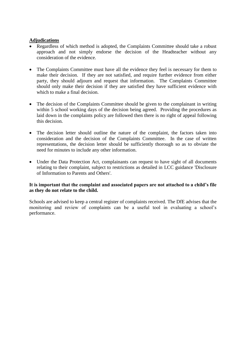## **Adjudications**

- Regardless of which method is adopted, the Complaints Committee should take a robust approach and not simply endorse the decision of the Headteacher without any consideration of the evidence.
- The Complaints Committee must have all the evidence they feel is necessary for them to make their decision. If they are not satisfied, and require further evidence from either party, they should adjourn and request that information. The Complaints Committee should only make their decision if they are satisfied they have sufficient evidence with which to make a final decision.
- The decision of the Complaints Committee should be given to the complainant in writing within 5 school working days of the decision being agreed. Providing the procedures as laid down in the complaints policy are followed then there is no right of appeal following this decision.
- The decision letter should outline the nature of the complaint, the factors taken into consideration and the decision of the Complaints Committee. In the case of written representations, the decision letter should be sufficiently thorough so as to obviate the need for minutes to include any other information.
- Under the Data Protection Act, complainants can request to have sight of all documents relating to their complaint, subject to restrictions as detailed in LCC guidance 'Disclosure of Information to Parents and Others'.

## **It is important that the complaint and associated papers are not attached to a child's file as they do not relate to the child.**

Schools are advised to keep a central register of complaints received. The DfE advises that the monitoring and review of complaints can be a useful tool in evaluating a school's performance.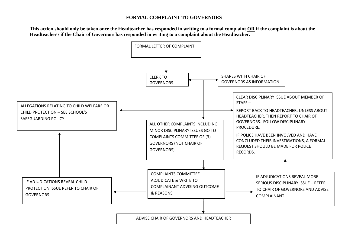## **FORMAL COMPLAINT TO GOVERNORS**

**This action should only be taken once the Headteacher has responded in writing to a formal complaint OR if the complaint is about the Headteacher / if the Chair of Governors has responded in writing to a complaint about the Headteacher.** 

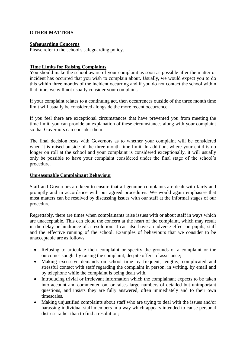## **OTHER MATTERS**

#### **Safeguarding Concerns**

Please refer to the school's safeguarding policy.

### **Time Limits for Raising Complaints**

You should make the school aware of your complaint as soon as possible after the matter or incident has occurred that you wish to complain about. Usually, we would expect you to do this within three months of the incident occurring and if you do not contact the school within that time, we will not usually consider your complaint.

If your complaint relates to a continuing act, then occurrences outside of the three month time limit will usually be considered alongside the more recent occurrence.

If you feel there are exceptional circumstances that have prevented you from meeting the time limit, you can provide an explanation of these circumstances along with your complaint so that Governors can consider them.

The final decision rests with Governors as to whether your complaint will be considered when it is raised outside of the three month time limit. In addition, where your child is no longer on roll at the school and your complaint is considered exceptionally, it will usually only be possible to have your complaint considered under the final stage of the school's procedure.

#### **Unreasonable Complainant Behaviour**

Staff and Governors are keen to ensure that all genuine complaints are dealt with fairly and promptly and in accordance with our agreed procedures. We would again emphasise that most matters can be resolved by discussing issues with our staff at the informal stages of our procedure.

Regrettably, there are times when complainants raise issues with or about staff in ways which are unacceptable. This can cloud the concern at the heart of the complaint, which may result in the delay or hindrance of a resolution. It can also have an adverse effect on pupils, staff and the effective running of the school. Examples of behaviours that we consider to be unacceptable are as follows:

- Refusing to articulate their complaint or specify the grounds of a complaint or the outcomes sought by raising the complaint, despite offers of assistance;
- Making excessive demands on school time by frequent, lengthy, complicated and stressful contact with staff regarding the complaint in person, in writing, by email and by telephone while the complaint is being dealt with.
- Introducing trivial or irrelevant information which the complainant expects to be taken into account and commented on, or raises large numbers of detailed but unimportant questions, and insists they are fully answered, often immediately and to their own timescales.
- Making unjustified complaints about staff who are trying to deal with the issues and/or harassing individual staff members in a way which appears intended to cause personal distress rather than to find a resolution;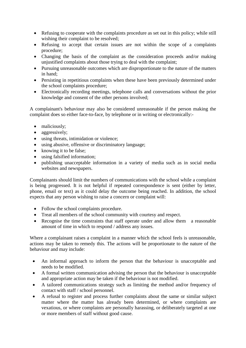- Refusing to cooperate with the complaints procedure as set out in this policy; while still wishing their complaint to be resolved;
- Refusing to accept that certain issues are not within the scope of a complaints procedure;
- Changing the basis of the complaint as the consideration proceeds and/or making unjustified complaints about those trying to deal with the complaint;
- Pursuing unreasonable outcomes which are disproportionate to the nature of the matters in hand;
- Persisting in repetitious complaints when these have been previously determined under the school complaints procedure;
- Electronically recording meetings, telephone calls and conversations without the prior knowledge and consent of the other persons involved;

A complainant's behaviour may also be considered unreasonable if the person making the complaint does so either face-to-face, by telephone or in writing or electronically:-

- maliciously;
- aggressively;
- using threats, intimidation or violence;
- using abusive, offensive or discriminatory language;
- knowing it to be false:
- using falsified information;
- publishing unacceptable information in a variety of media such as in social media websites and newspapers.

Complainants should limit the numbers of communications with the school while a complaint is being progressed. It is not helpful if repeated correspondence is sent (either by letter, phone, email or text) as it could delay the outcome being reached. In addition, the school expects that any person wishing to raise a concern or complaint will:

- Follow the school complaints procedure.
- Treat all members of the school community with courtesy and respect.
- Recognise the time constraints that staff operate under and allow them a reasonable amount of time in which to respond / address any issues.

Where a complainant raises a complaint in a manner which the school feels is unreasonable, actions may be taken to remedy this. The actions will be proportionate to the nature of the behaviour and may include:

- An informal approach to inform the person that the behaviour is unacceptable and needs to be modified.
- A formal written communication advising the person that the behaviour is unacceptable and appropriate action may be taken if the behaviour is not modified.
- A tailored communications strategy such as limiting the method and/or frequency of contact with staff / school personnel.
- A refusal to register and process further complaints about the same or similar subject matter where the matter has already been determined, or where complaints are vexatious, or where complaints are personally harassing, or deliberately targeted at one or more members of staff without good cause.